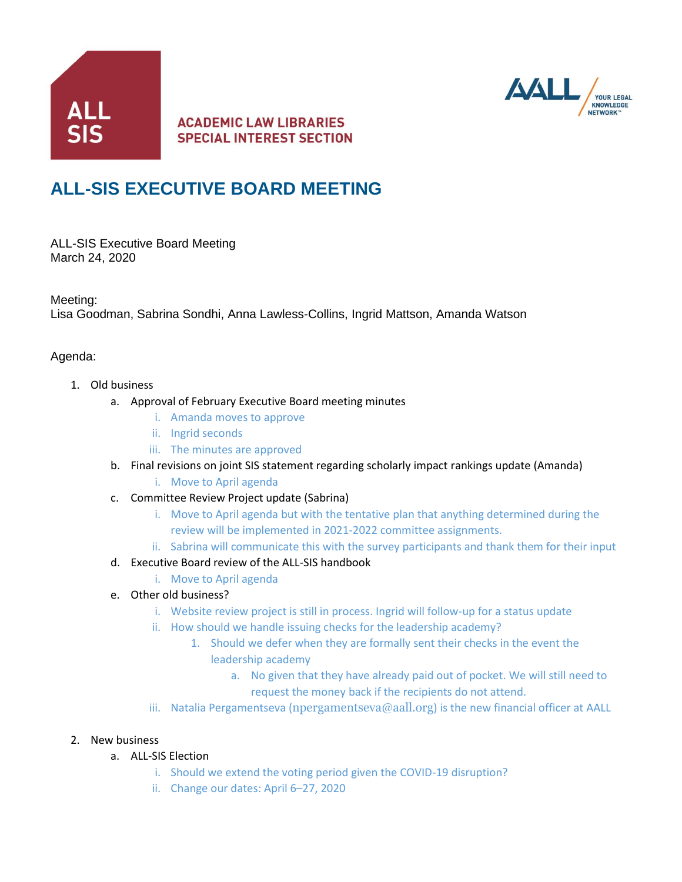

## **ACADEMIC LAW LIBRARIES SPECIAL INTEREST SECTION**



# **ALL-SIS EXECUTIVE BOARD MEETING**

ALL-SIS Executive Board Meeting March 24, 2020

Meeting:

Lisa Goodman, Sabrina Sondhi, Anna Lawless-Collins, Ingrid Mattson, Amanda Watson

#### Agenda:

- 1. Old business
	- a. Approval of February Executive Board meeting minutes
		- i. Amanda moves to approve
		- ii. Ingrid seconds
		- iii. The minutes are approved
	- b. Final revisions on joint SIS statement regarding scholarly impact rankings update (Amanda)
		- i. Move to April agenda
	- c. Committee Review Project update (Sabrina)
		- i. Move to April agenda but with the tentative plan that anything determined during the review will be implemented in 2021-2022 committee assignments.
		- ii. Sabrina will communicate this with the survey participants and thank them for their input
	- d. Executive Board review of the ALL-SIS handbook
		- i. Move to April agenda
	- e. Other old business?
		- i. Website review project is still in process. Ingrid will follow-up for a status update
		- ii. How should we handle issuing checks for the leadership academy?
			- 1. Should we defer when they are formally sent their checks in the event the leadership academy
				- a. No given that they have already paid out of pocket. We will still need to request the money back if the recipients do not attend.
		- iii. Natalia Pergamentseva ([npergamentseva@aall.org](mailto:npergamentseva@aall.org)) is the new financial officer at AALL

#### 2. New business

- a. ALL-SIS Election
	- i. Should we extend the voting period given the COVID-19 disruption?
	- ii. Change our dates: April 6–27, 2020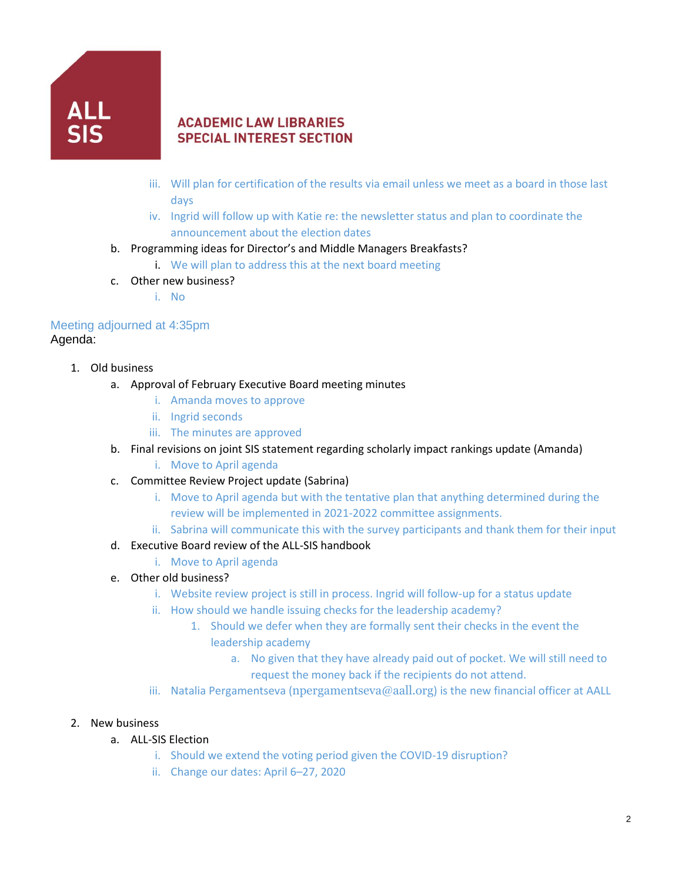

## **ACADEMIC LAW LIBRARIES SPECIAL INTEREST SECTION**

- iii. Will plan for certification of the results via email unless we meet as a board in those last days
- iv. Ingrid will follow up with Katie re: the newsletter status and plan to coordinate the announcement about the election dates
- b. Programming ideas for Director's and Middle Managers Breakfasts?
	- i. We will plan to address this at the next board meeting
- c. Other new business?
	- i. No

### Meeting adjourned at 4:35pm Agenda:

- 1. Old business
	- a. Approval of February Executive Board meeting minutes
		- i. Amanda moves to approve
		- ii. Ingrid seconds
		- iii. The minutes are approved
	- b. Final revisions on joint SIS statement regarding scholarly impact rankings update (Amanda)
		- i. Move to April agenda
	- c. Committee Review Project update (Sabrina)
		- i. Move to April agenda but with the tentative plan that anything determined during the review will be implemented in 2021-2022 committee assignments.
		- ii. Sabrina will communicate this with the survey participants and thank them for their input
	- d. Executive Board review of the ALL-SIS handbook
		- i. Move to April agenda
	- e. Other old business?
		- i. Website review project is still in process. Ingrid will follow-up for a status update
		- ii. How should we handle issuing checks for the leadership academy?
			- 1. Should we defer when they are formally sent their checks in the event the leadership academy
				- a. No given that they have already paid out of pocket. We will still need to
					- request the money back if the recipients do not attend.
		- iii. Natalia Pergamentseva ([npergamentseva@aall.org](mailto:npergamentseva@aall.org)) is the new financial officer at AALL

#### 2. New business

- a. ALL-SIS Election
	- i. Should we extend the voting period given the COVID-19 disruption?
	- ii. Change our dates: April 6–27, 2020